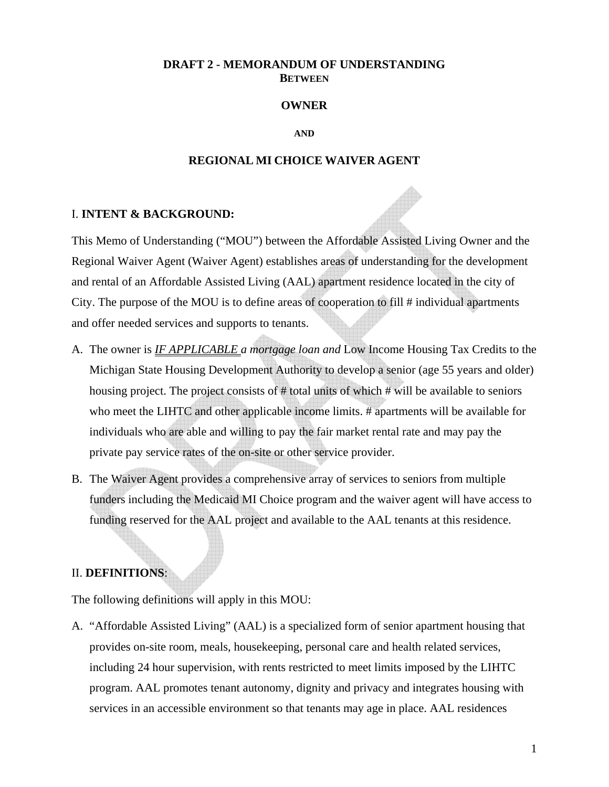### **DRAFT 2 - MEMORANDUM OF UNDERSTANDING BETWEEN**

### **OWNER**

#### **AND**

### **REGIONAL MI CHOICE WAIVER AGENT**

### I. **INTENT & BACKGROUND:**

This Memo of Understanding ("MOU") between the Affordable Assisted Living Owner and the Regional Waiver Agent (Waiver Agent) establishes areas of understanding for the development and rental of an Affordable Assisted Living (AAL) apartment residence located in the city of City. The purpose of the MOU is to define areas of cooperation to fill # individual apartments and offer needed services and supports to tenants.

- A. The owner is *IF APPLICABLE a mortgage loan and* Low Income Housing Tax Credits to the Michigan State Housing Development Authority to develop a senior (age 55 years and older) housing project. The project consists of # total units of which # will be available to seniors who meet the LIHTC and other applicable income limits. # apartments will be available for individuals who are able and willing to pay the fair market rental rate and may pay the private pay service rates of the on-site or other service provider.
- B. The Waiver Agent provides a comprehensive array of services to seniors from multiple funders including the Medicaid MI Choice program and the waiver agent will have access to funding reserved for the AAL project and available to the AAL tenants at this residence.

#### II. **DEFINITIONS**:

The following definitions will apply in this MOU:

A. "Affordable Assisted Living" (AAL) is a specialized form of senior apartment housing that provides on-site room, meals, housekeeping, personal care and health related services, including 24 hour supervision, with rents restricted to meet limits imposed by the LIHTC program. AAL promotes tenant autonomy, dignity and privacy and integrates housing with services in an accessible environment so that tenants may age in place. AAL residences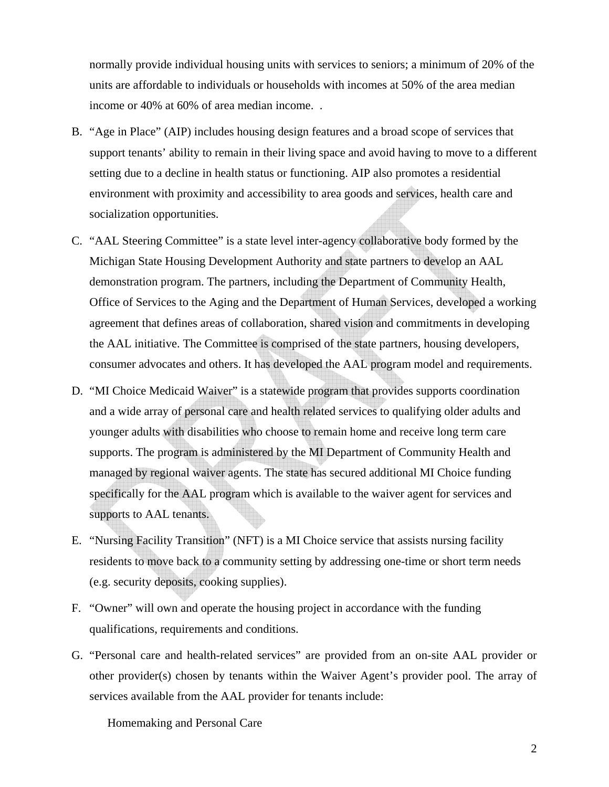normally provide individual housing units with services to seniors; a minimum of 20% of the units are affordable to individuals or households with incomes at 50% of the area median income or 40% at 60% of area median income. .

- B. "Age in Place" (AIP) includes housing design features and a broad scope of services that support tenants' ability to remain in their living space and avoid having to move to a different setting due to a decline in health status or functioning. AIP also promotes a residential environment with proximity and accessibility to area goods and services, health care and socialization opportunities.
- C. "AAL Steering Committee" is a state level inter-agency collaborative body formed by the Michigan State Housing Development Authority and state partners to develop an AAL demonstration program. The partners, including the Department of Community Health, Office of Services to the Aging and the Department of Human Services, developed a working agreement that defines areas of collaboration, shared vision and commitments in developing the AAL initiative. The Committee is comprised of the state partners, housing developers, consumer advocates and others. It has developed the AAL program model and requirements.
- D. "MI Choice Medicaid Waiver" is a statewide program that provides supports coordination and a wide array of personal care and health related services to qualifying older adults and younger adults with disabilities who choose to remain home and receive long term care supports. The program is administered by the MI Department of Community Health and managed by regional waiver agents. The state has secured additional MI Choice funding specifically for the AAL program which is available to the waiver agent for services and supports to AAL tenants.
- E. "Nursing Facility Transition" (NFT) is a MI Choice service that assists nursing facility residents to move back to a community setting by addressing one-time or short term needs (e.g. security deposits, cooking supplies).
- F. "Owner" will own and operate the housing project in accordance with the funding qualifications, requirements and conditions.
- G. "Personal care and health-related services" are provided from an on-site AAL provider or other provider(s) chosen by tenants within the Waiver Agent's provider pool. The array of services available from the AAL provider for tenants include:

Homemaking and Personal Care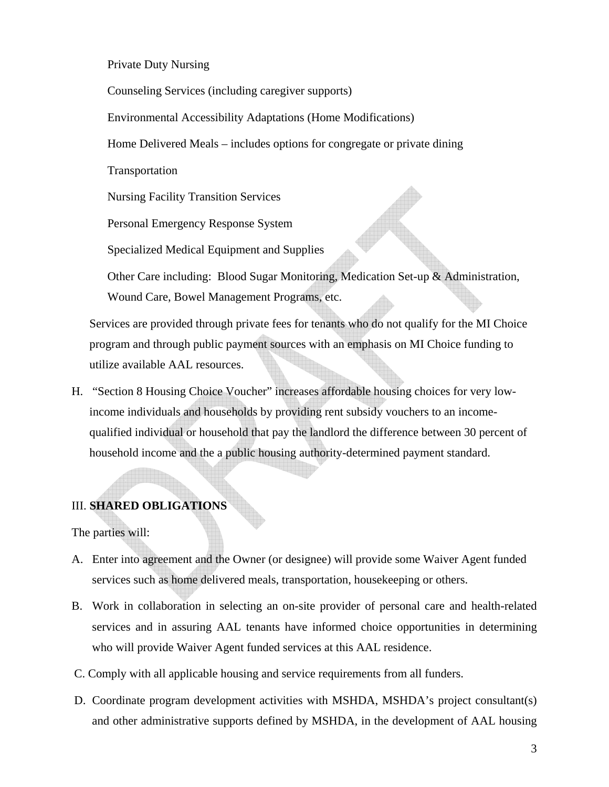Private Duty Nursing

Counseling Services (including caregiver supports)

Environmental Accessibility Adaptations (Home Modifications)

Home Delivered Meals – includes options for congregate or private dining

Transportation

Nursing Facility Transition Services

Personal Emergency Response System

Specialized Medical Equipment and Supplies

Other Care including: Blood Sugar Monitoring, Medication Set-up & Administration, Wound Care, Bowel Management Programs, etc.

Services are provided through private fees for tenants who do not qualify for the MI Choice program and through public payment sources with an emphasis on MI Choice funding to utilize available AAL resources.

H. "Section 8 Housing Choice Voucher" increases affordable housing choices for very lowincome individuals and households by providing rent subsidy vouchers to an incomequalified individual or household that pay the landlord the difference between 30 percent of household income and the a public housing authority-determined payment standard.

# III. **SHARED OBLIGATIONS**

The parties will:

- A. Enter into agreement and the Owner (or designee) will provide some Waiver Agent funded services such as home delivered meals, transportation, housekeeping or others.
- B. Work in collaboration in selecting an on-site provider of personal care and health-related services and in assuring AAL tenants have informed choice opportunities in determining who will provide Waiver Agent funded services at this AAL residence.
- C. Comply with all applicable housing and service requirements from all funders.
- D. Coordinate program development activities with MSHDA, MSHDA's project consultant(s) and other administrative supports defined by MSHDA, in the development of AAL housing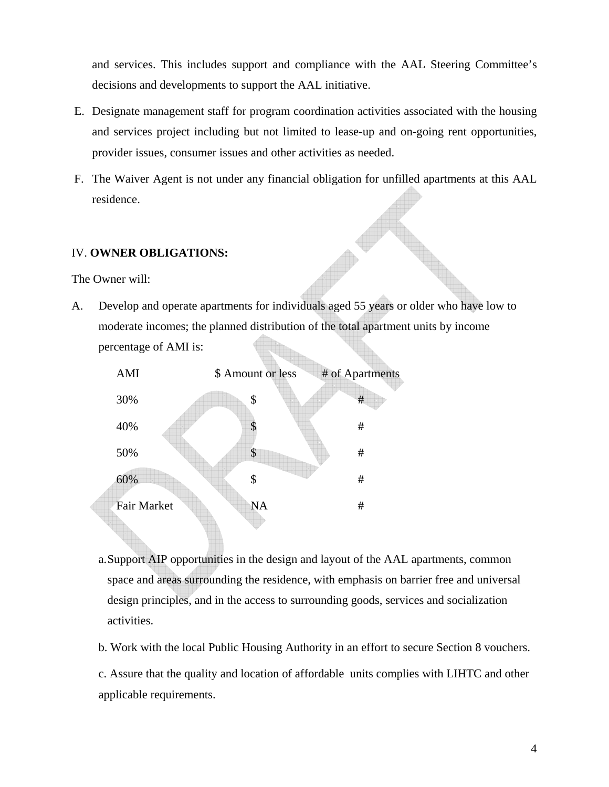and services. This includes support and compliance with the AAL Steering Committee's decisions and developments to support the AAL initiative.

- E. Designate management staff for program coordination activities associated with the housing and services project including but not limited to lease-up and on-going rent opportunities, provider issues, consumer issues and other activities as needed.
- F. The Waiver Agent is not under any financial obligation for unfilled apartments at this AAL residence.

### IV. **OWNER OBLIGATIONS:**

The Owner will:

A. Develop and operate apartments for individuals aged 55 years or older who have low to moderate incomes; the planned distribution of the total apartment units by income percentage of AMI is:



- a. Support AIP opportunities in the design and layout of the AAL apartments, common space and areas surrounding the residence, with emphasis on barrier free and universal design principles, and in the access to surrounding goods, services and socialization activities.
- b. Work with the local Public Housing Authority in an effort to secure Section 8 vouchers.
- c. Assure that the quality and location of affordable units complies with LIHTC and other applicable requirements.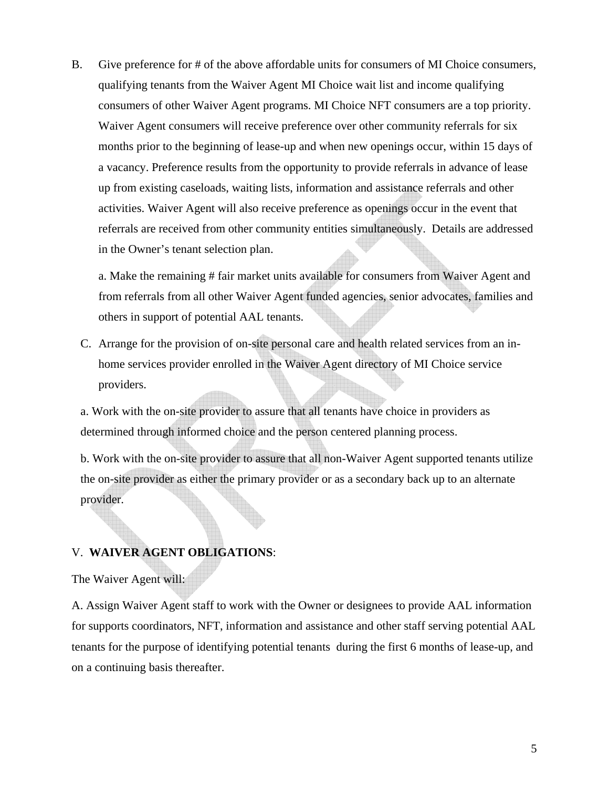B. Give preference for # of the above affordable units for consumers of MI Choice consumers, qualifying tenants from the Waiver Agent MI Choice wait list and income qualifying consumers of other Waiver Agent programs. MI Choice NFT consumers are a top priority. Waiver Agent consumers will receive preference over other community referrals for six months prior to the beginning of lease-up and when new openings occur, within 15 days of a vacancy. Preference results from the opportunity to provide referrals in advance of lease up from existing caseloads, waiting lists, information and assistance referrals and other activities. Waiver Agent will also receive preference as openings occur in the event that referrals are received from other community entities simultaneously. Details are addressed in the Owner's tenant selection plan.

a. Make the remaining # fair market units available for consumers from Waiver Agent and from referrals from all other Waiver Agent funded agencies, senior advocates, families and others in support of potential AAL tenants.

C. Arrange for the provision of on-site personal care and health related services from an inhome services provider enrolled in the Waiver Agent directory of MI Choice service providers.

a. Work with the on-site provider to assure that all tenants have choice in providers as determined through informed choice and the person centered planning process.

b. Work with the on-site provider to assure that all non-Waiver Agent supported tenants utilize the on-site provider as either the primary provider or as a secondary back up to an alternate provider.

## V. **WAIVER AGENT OBLIGATIONS**:

The Waiver Agent will:

A. Assign Waiver Agent staff to work with the Owner or designees to provide AAL information for supports coordinators, NFT, information and assistance and other staff serving potential AAL tenants for the purpose of identifying potential tenants during the first 6 months of lease-up, and on a continuing basis thereafter.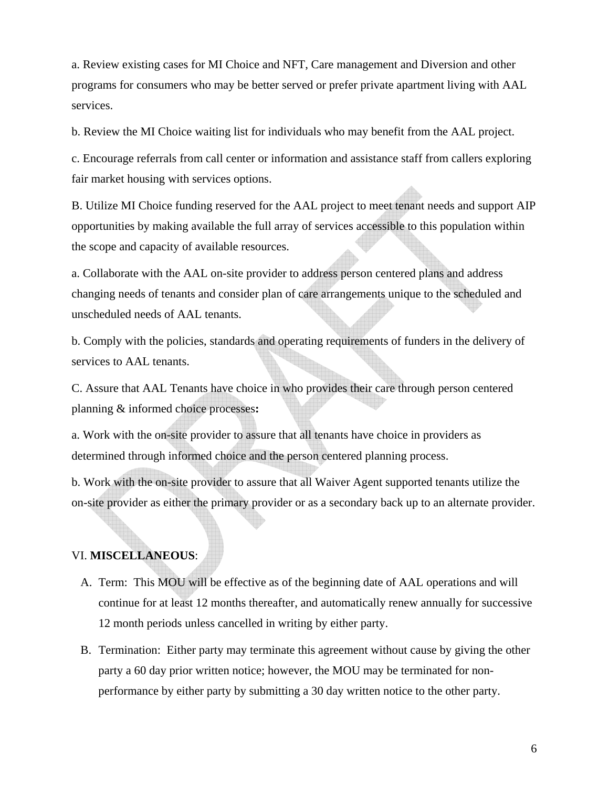a. Review existing cases for MI Choice and NFT, Care management and Diversion and other programs for consumers who may be better served or prefer private apartment living with AAL services.

b. Review the MI Choice waiting list for individuals who may benefit from the AAL project.

c. Encourage referrals from call center or information and assistance staff from callers exploring fair market housing with services options.

B. Utilize MI Choice funding reserved for the AAL project to meet tenant needs and support AIP opportunities by making available the full array of services accessible to this population within the scope and capacity of available resources.

a. Collaborate with the AAL on-site provider to address person centered plans and address changing needs of tenants and consider plan of care arrangements unique to the scheduled and unscheduled needs of AAL tenants.

b. Comply with the policies, standards and operating requirements of funders in the delivery of services to AAL tenants.

C. Assure that AAL Tenants have choice in who provides their care through person centered planning & informed choice processes**:** 

a. Work with the on-site provider to assure that all tenants have choice in providers as determined through informed choice and the person centered planning process.

b. Work with the on-site provider to assure that all Waiver Agent supported tenants utilize the on-site provider as either the primary provider or as a secondary back up to an alternate provider.

## VI. **MISCELLANEOUS**:

- A. Term: This MOU will be effective as of the beginning date of AAL operations and will continue for at least 12 months thereafter, and automatically renew annually for successive 12 month periods unless cancelled in writing by either party.
- B. Termination: Either party may terminate this agreement without cause by giving the other party a 60 day prior written notice; however, the MOU may be terminated for nonperformance by either party by submitting a 30 day written notice to the other party.